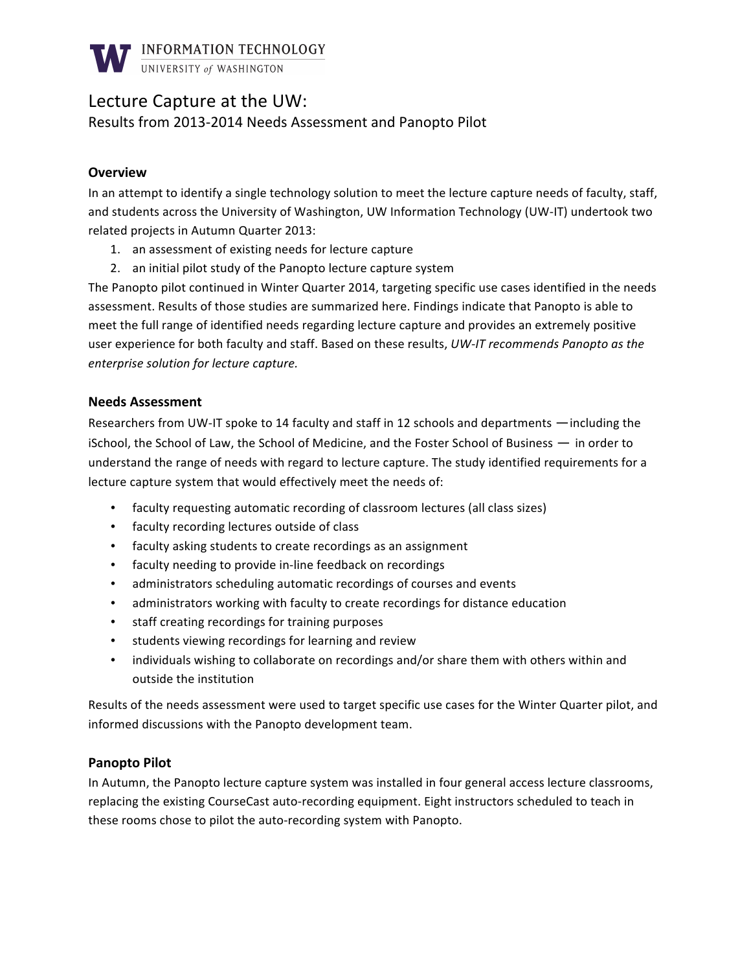

# Lecture Capture at the UW:

Results from 2013-2014 Needs Assessment and Panopto Pilot

## **Overview**

In an attempt to identify a single technology solution to meet the lecture capture needs of faculty, staff, and students across the University of Washington, UW Information Technology (UW-IT) undertook two related projects in Autumn Quarter 2013:

- 1. an assessment of existing needs for lecture capture
- 2. an initial pilot study of the Panopto lecture capture system

The Panopto pilot continued in Winter Quarter 2014, targeting specific use cases identified in the needs assessment. Results of those studies are summarized here. Findings indicate that Panopto is able to meet the full range of identified needs regarding lecture capture and provides an extremely positive user experience for both faculty and staff. Based on these results, UW-IT recommends Panopto as the  $e$ nterprise solution for lecture capture.

### **Needs Assessment**

Researchers from UW-IT spoke to 14 faculty and staff in 12 schools and departments —including the iSchool, the School of Law, the School of Medicine, and the Foster School of Business — in order to understand the range of needs with regard to lecture capture. The study identified requirements for a lecture capture system that would effectively meet the needs of:

- faculty requesting automatic recording of classroom lectures (all class sizes)
- faculty recording lectures outside of class
- faculty asking students to create recordings as an assignment
- faculty needing to provide in-line feedback on recordings
- administrators scheduling automatic recordings of courses and events
- administrators working with faculty to create recordings for distance education
- staff creating recordings for training purposes
- students viewing recordings for learning and review
- individuals wishing to collaborate on recordings and/or share them with others within and outside the institution

Results of the needs assessment were used to target specific use cases for the Winter Quarter pilot, and informed discussions with the Panopto development team.

### **Panopto Pilot**

In Autumn, the Panopto lecture capture system was installed in four general access lecture classrooms, replacing the existing CourseCast auto-recording equipment. Eight instructors scheduled to teach in these rooms chose to pilot the auto-recording system with Panopto.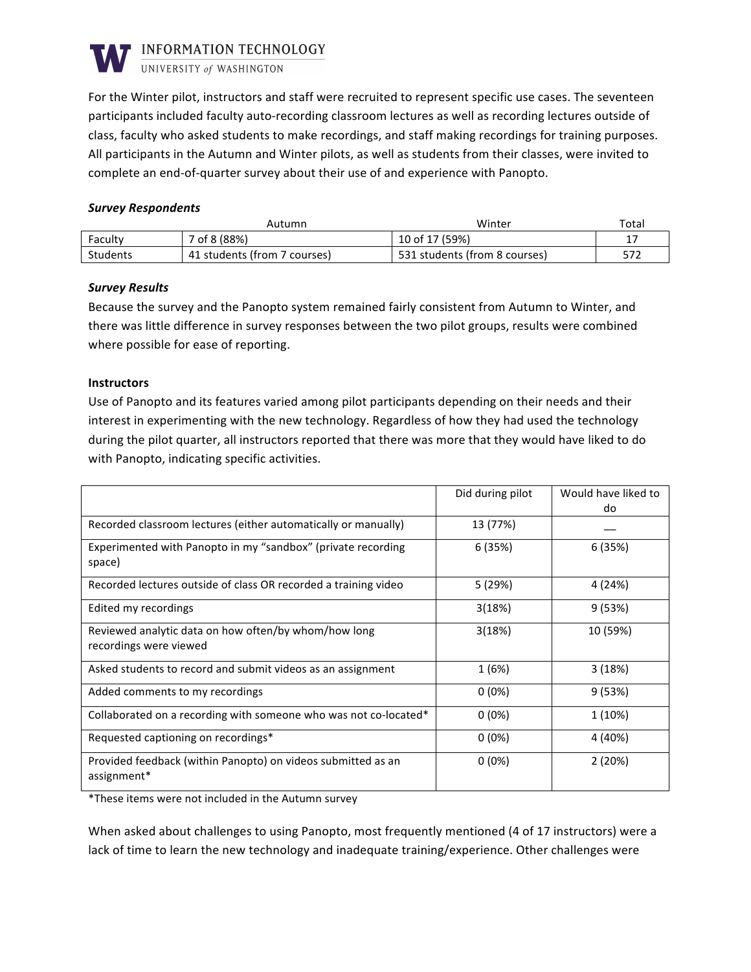

UNIVERSITY of WASHINGTON

For the Winter pilot, instructors and staff were recruited to represent specific use cases. The seventeen' participants included faculty auto-recording classroom lectures as well as recording lectures outside of class, faculty who asked students to make recordings, and staff making recordings for training purposes. All participants in the Autumn and Winter pilots, as well as students from their classes, were invited to complete an end-of-quarter survey about their use of and experience with Panopto.

#### *Survey!Respondents*

|                 | Autumn                       | Winter                        | Total |
|-----------------|------------------------------|-------------------------------|-------|
| Faculty         | 7 of 8 (88%)                 | 10 of 17 (59%)                | ∸     |
| <b>Students</b> | 41 students (from 7 courses) | 531 students (from 8 courses) | 572   |

#### *Survey!Results*

Because the survey and the Panopto system remained fairly consistent from Autumn to Winter, and there was little difference in survey responses between the two pilot groups, results were combined where possible for ease of reporting.

#### **Instructors**

Use of Panopto and its features varied among pilot participants depending on their needs and their interest in experimenting with the new technology. Regardless of how they had used the technology during the pilot quarter, all instructors reported that there was more that they would have liked to do with Panopto, indicating specific activities.

|                                                                                | Did during pilot | Would have liked to<br>do |
|--------------------------------------------------------------------------------|------------------|---------------------------|
| Recorded classroom lectures (either automatically or manually)                 | 13 (77%)         |                           |
| Experimented with Panopto in my "sandbox" (private recording<br>space)         | 6(35%)           | 6 (35%)                   |
| Recorded lectures outside of class OR recorded a training video                | 5 (29%)          | 4 (24%)                   |
| Edited my recordings                                                           | 3(18%)           | 9(53%)                    |
| Reviewed analytic data on how often/by whom/how long<br>recordings were viewed | 3(18%)           | 10 (59%)                  |
| Asked students to record and submit videos as an assignment                    | 1(6%)            | 3(18%)                    |
| Added comments to my recordings                                                | $0(0\%)$         | 9(53%)                    |
| Collaborated on a recording with someone who was not co-located*               | $0(0\%)$         | 1 (10%)                   |
| Requested captioning on recordings*                                            | $0(0\%)$         | 4 (40%)                   |
| Provided feedback (within Panopto) on videos submitted as an<br>assignment*    | $0(0\%)$         | 2(20%)                    |

\*These items were not included in the Autumn survey

When asked about challenges to using Panopto, most frequently mentioned (4 of 17 instructors) were a lack of time to learn the new technology and inadequate training/experience. Other challenges were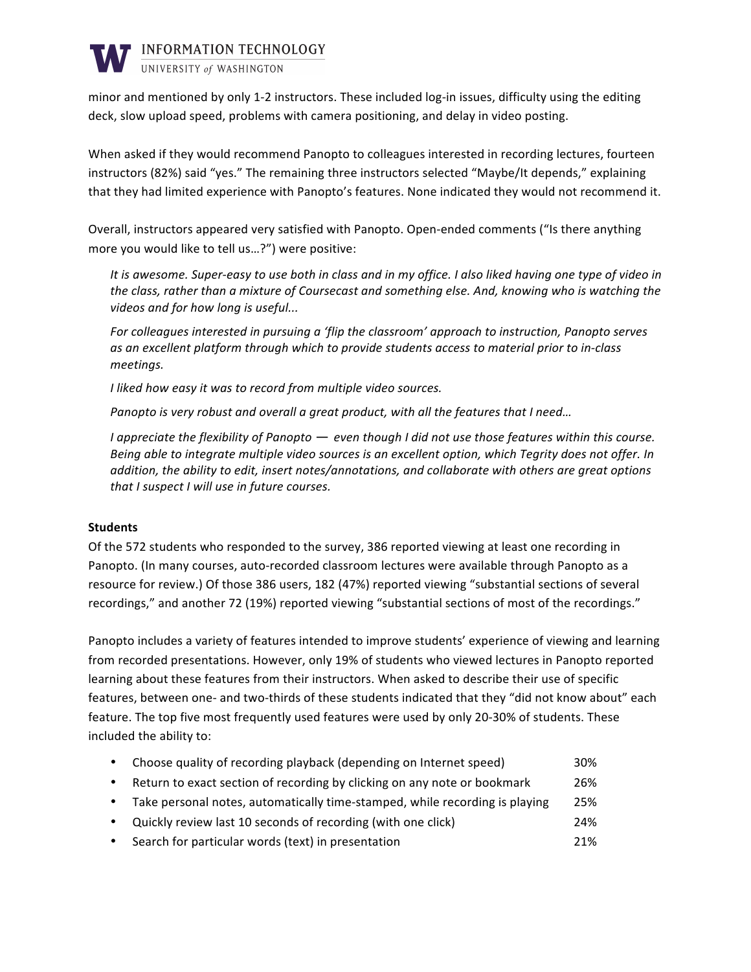

UNIVERSITY of WASHINGTON

minor and mentioned by only 1-2 instructors. These included log-in issues, difficulty using the editing deck, slow upload speed, problems with camera positioning, and delay in video posting.

When asked if they would recommend Panopto to colleagues interested in recording lectures, fourteen instructors (82%) said "yes." The remaining three instructors selected "Maybe/It depends," explaining that they had limited experience with Panopto's features. None indicated they would not recommend it.

Overall, instructors appeared very satisfied with Panopto. Open-ended comments ("Is there anything more you would like to tell us...?") were positive:

It is awesome. Super-easy to use both in class and in my office. I also liked having one type of video in the class, rather than a mixture of Coursecast and something else. And, knowing who is watching the *videos and for how long is useful...* 

For colleagues interested in pursuing a 'flip the classroom' approach to instruction, Panopto serves as an excellent platform through which to provide students access to material prior to in-class *meetings.*

*I* liked how easy it was to record from multiple video sources.

Panopto is very robust and overall a great product, with all the features that I need...

*I* appreciate the flexibility of Panopto — even though I did not use those features within this course. *Being able to integrate multiple video sources is an excellent option, which Tegrity does not offer. In* addition, the ability to edit, insert notes/annotations, and collaborate with others are great options *that I suspect I will use in future courses.* 

### **Students**

Of the 572 students who responded to the survey, 386 reported viewing at least one recording in Panopto. (In many courses, auto-recorded classroom lectures were available through Panopto as a resource for review.) Of those 386 users, 182 (47%) reported viewing "substantial sections of several recordings," and another 72 (19%) reported viewing "substantial sections of most of the recordings."

Panopto includes a variety of features intended to improve students' experience of viewing and learning from recorded presentations. However, only 19% of students who viewed lectures in Panopto reported learning about these features from their instructors. When asked to describe their use of specific features, between one- and two-thirds of these students indicated that they "did not know about" each feature. The top five most frequently used features were used by only 20-30% of students. These included the ability to:

| Choose quality of recording playback (depending on Internet speed)          | 30% |
|-----------------------------------------------------------------------------|-----|
| Return to exact section of recording by clicking on any note or bookmark    | 26% |
| Take personal notes, automatically time-stamped, while recording is playing | 25% |
| Quickly review last 10 seconds of recording (with one click)                | 24% |
| Search for particular words (text) in presentation                          | 21% |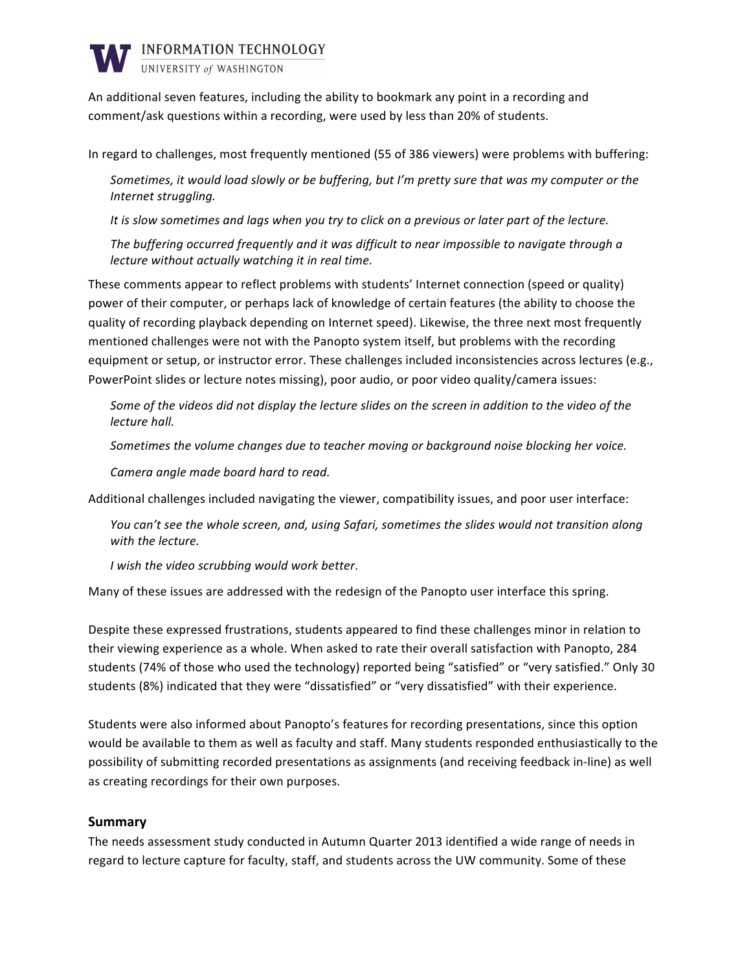

An additional seven features, including the ability to bookmark any point in a recording and comment/ask questions within a recording, were used by less than 20% of students.

In regard to challenges, most frequently mentioned (55 of 386 viewers) were problems with buffering:

Sometimes, it would load slowly or be buffering, but I'm pretty sure that was my computer or the **Internet struggling.** 

It is slow sometimes and lags when you try to click on a previous or later part of the lecture.

*The buffering occurred frequently and it was difficult to near impossible to navigate through a lecture without actually watching it in real time.* 

These comments appear to reflect problems with students' Internet connection (speed or quality) power of their computer, or perhaps lack of knowledge of certain features (the ability to choose the quality of recording playback depending on Internet speed). Likewise, the three next most frequently mentioned challenges were not with the Panopto system itself, but problems with the recording equipment or setup, or instructor error. These challenges included inconsistencies across lectures (e.g., PowerPoint slides or lecture notes missing), poor audio, or poor video quality/camera issues:

Some of the videos did not display the lecture slides on the screen in addition to the video of the *lecture hall.* 

Sometimes the volume changes due to teacher moving or background noise blocking her voice.

Camera angle made board hard to read.

Additional challenges included navigating the viewer, compatibility issues, and poor user interface:

You can't see the whole screen, and, using Safari, sometimes the slides would not transition along *with the lecture.* 

*I* wish the video scrubbing would work better.

Many of these issues are addressed with the redesign of the Panopto user interface this spring.

Despite these expressed frustrations, students appeared to find these challenges minor in relation to their viewing experience as a whole. When asked to rate their overall satisfaction with Panopto, 284 students (74% of those who used the technology) reported being "satisfied" or "very satisfied." Only 30 students (8%) indicated that they were "dissatisfied" or "very dissatisfied" with their experience.

Students were also informed about Panopto's features for recording presentations, since this option would be available to them as well as faculty and staff. Many students responded enthusiastically to the possibility of submitting recorded presentations as assignments (and receiving feedback in-line) as well as creating recordings for their own purposes.

### **Summary**

The needs assessment study conducted in Autumn Quarter 2013 identified a wide range of needs in regard to lecture capture for faculty, staff, and students across the UW community. Some of these